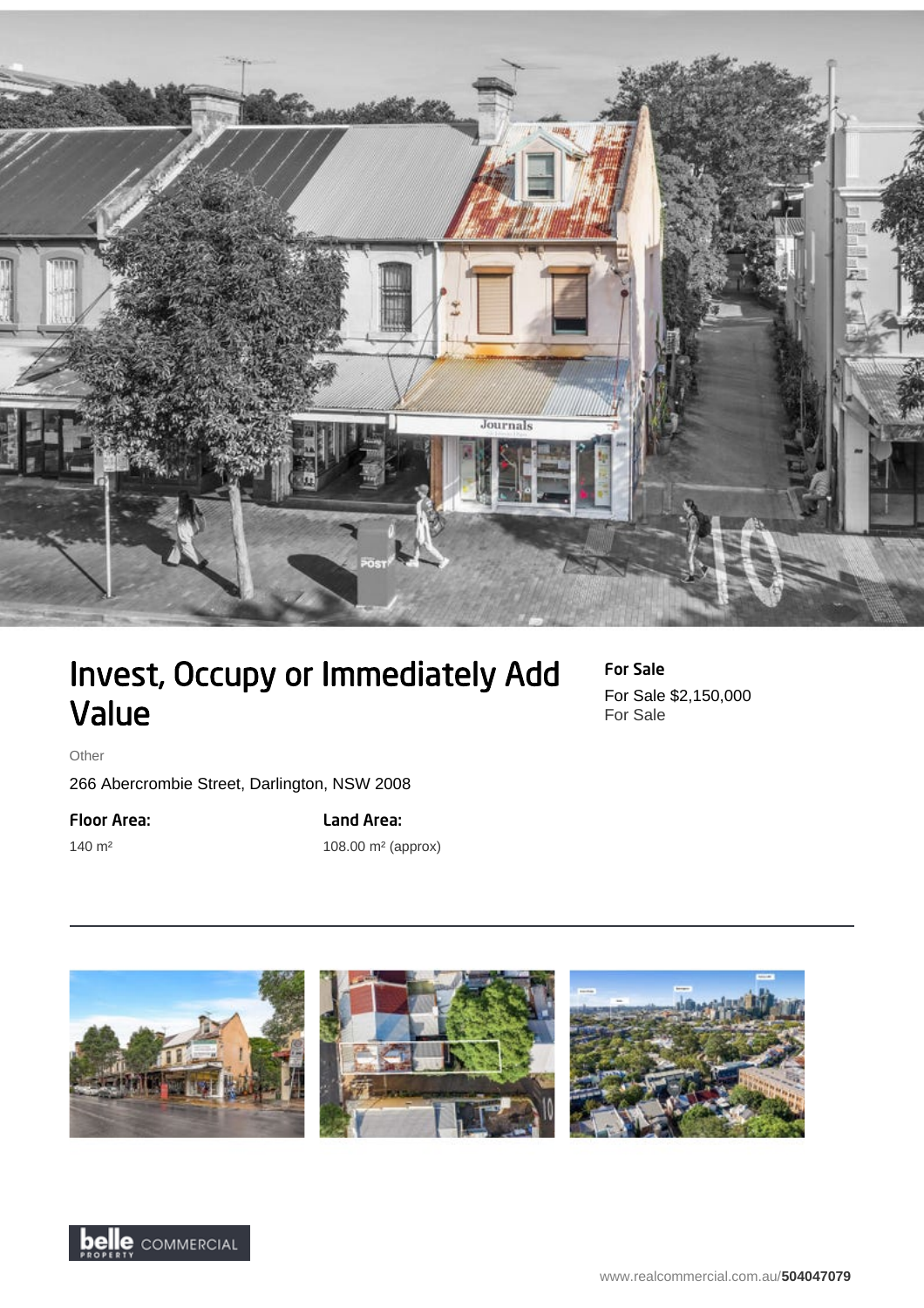

## Invest, Occupy or Immediately Add Value

For Sale For Sale \$2,150,000 For Sale

Other

140 m²

266 Abercrombie Street, Darlington, NSW 2008

Floor Area:

Land Area: 108.00 m² (approx)